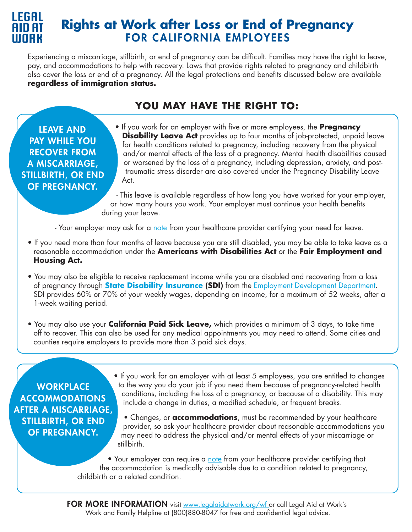

# **Rights at Work after Loss or End of Pregnancy**  FOR CALIFORNIA EMPLOYEES

Experiencing a miscarriage, stillbirth, or end of pregnancy can be difficult. Families may have the right to leave, pay, and accommodations to help with recovery. Laws that provide rights related to pregnancy and childbirth also cover the loss or end of a pregnancy. All the legal protections and benefits discussed below are available **regardless of immigration status.**

## **YOU MAY HAVE THE RIGHT TO:**

LEAVE AND PAY WHILE YOU RECOVER FROM A MISCARRIAGE, STILLBIRTH, OR END OF PREGNANCY.

• If you work for an employer with five or more employees, the **Pregnancy Disability Leave Act** provides up to four months of job-protected, unpaid leave for health conditions related to pregnancy, including recovery from the physical and/or mental effects of the loss of a pregnancy. Mental health disabilities caused or worsened by the loss of a pregnancy, including depression, anxiety, and post traumatic stress disorder are also covered under the Pregnancy Disability Leave Act.

- This leave is available regardless of how long you have worked for your employer, or how many hours you work. Your employer must continue your health benefits during your leave.

- Your employer may ask for a [note](https://legalaidatwork.org/wp-content/uploads/2017/02/Letter_Supporting_Pregnancy_Leave-3.doc) from your healthcare provider certifying your need for leave.

- If you need more than four months of leave because you are still disabled, you may be able to take leave as a reasonable accommodation under the **Americans with Disabilities Act** or the **Fair Employment and Housing Act.**
- You may also be eligible to receive replacement income while you are disabled and recovering from a loss of pregnancy through **[State Disability Insurance](https://edd.ca.gov/en/Disability/Disability_Insurance) (SDI)** from the [Employment Development Department](https://edd.ca.gov/). SDI provides 60% or 70% of your weekly wages, depending on income, for a maximum of 52 weeks, after a 1-week waiting period.
- You may also use your **California Paid Sick Leave,** which provides a minimum of 3 days, to take time off to recover. This can also be used for any medical appointments you may need to attend. Some cities and counties require employers to provide more than 3 paid sick days.

#### **WORKPLACE** ACCOMMODATIONS AFTER A MISCARRIAGE, STILLBIRTH, OR END OF PREGNANCY.

- If you work for an employer with at least 5 employees, you are entitled to changes to the way you do your job if you need them because of pregnancy-related health conditions, including the loss of a pregnancy, or because of a disability. This may include a change in duties, a modified schedule, or frequent breaks.
- Changes, or **accommodations**, must be recommended by your healthcare provider, so ask your healthcare provider about reasonable accommodations you may need to address the physical and/or mental effects of your miscarriage or stillbirth.

• Your employer can require a [note](https://legalaidatwork.org/wp-content/uploads/2019/07/Sample-Letter-from-Health-Care-Provider-Supporting-Need-for-Pregnancy-or-Childbirth-Related-Accommodation.docx) from your healthcare provider certifying that the accommodation is medically advisable due to a condition related to pregnancy, childbirth or a related condition.